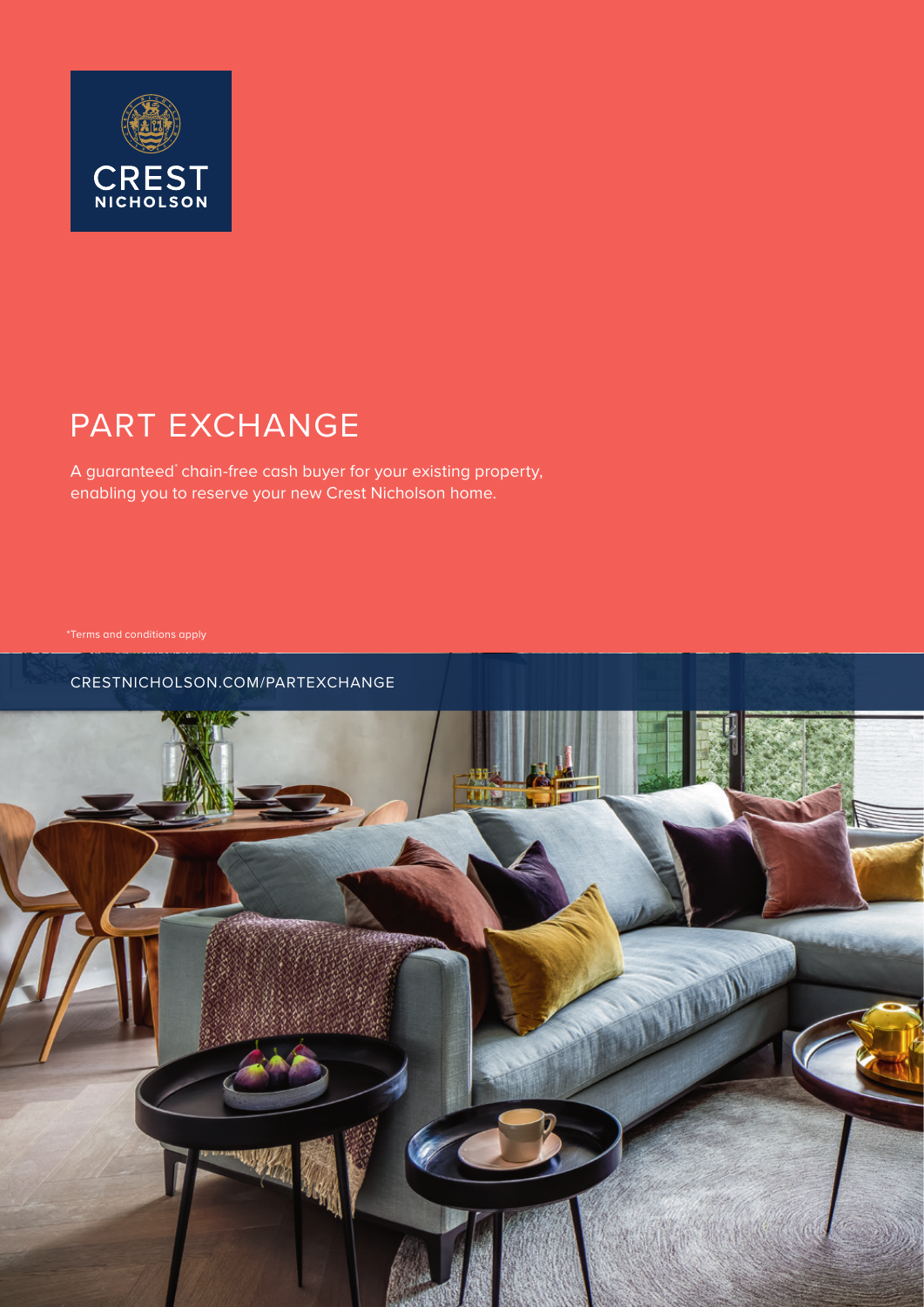

# PART EXCHANGE

A guaranteed\* chain-free cash buyer for your existing property, enabling you to reserve your new Crest Nicholson home.

CRESTNICHOLSON.COM/PARTEXCHANGE

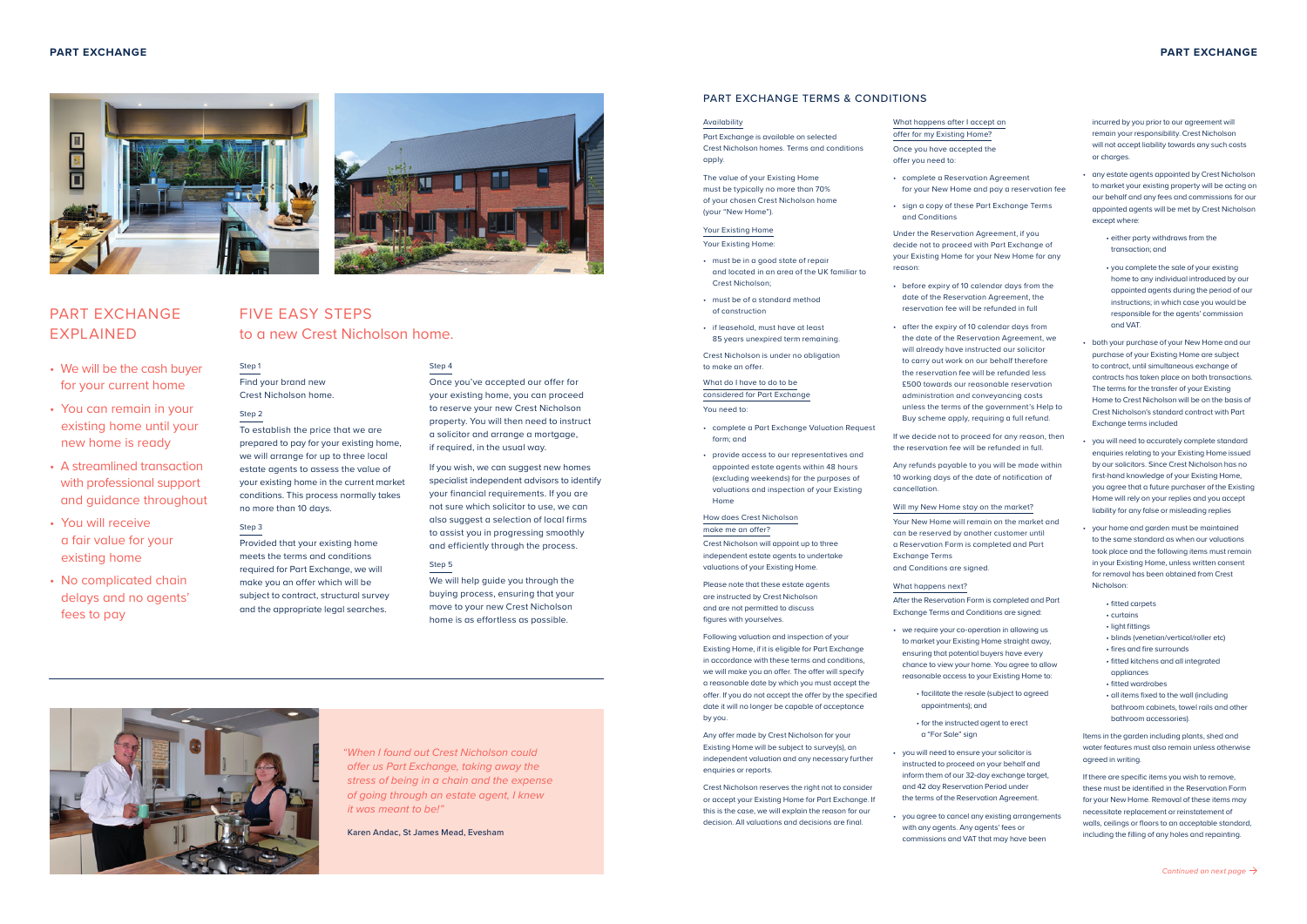### **PART EXCHANGE PART EXCHANGE**

#### PART EXCHANGE TERMS & CONDITIONS

#### Availability

Part Exchange is available on selected Crest Nicholson homes. Terms and conditions apply.

The value of your Existing Home must be typically no more than 70% of your chosen Crest Nicholson home (your "New Home").

#### Your Existing Home Your Existing Home:

- must be in a good state of repair and located in an area of the UK familiar to Crest Nicholson;
- must be of a standard method of construction
- if leasehold, must have at least 85 years unexpired term remaining.

Crest Nicholson is under no obligation to make an offer.

What do I have to do to be considered for Part Exchange You need to:

- complete a Part Exchange Valuation Request form; and
- provide access to our representatives and appointed estate agents within 48 hours (excluding weekends) for the purposes of valuations and inspection of your Existing Home

#### How does Crest Nicholson make me an offer?

Crest Nicholson will appoint up to three independent estate agents to undertake valuations of your Existing Home.

Please note that these estate agents are instructed by Crest Nicholson and are not permitted to discuss figures with yourselves.

Following valuation and inspection of your Existing Home, if it is eligible for Part Exchange in accordance with these terms and conditions, we will make you an offer. The offer will specify a reasonable date by which you must accept the offer. If you do not accept the offer by the specified date it will no longer be capable of acceptance by you.

Any offer made by Crest Nicholson for your Existing Home will be subject to survey(s), an independent valuation and any necessary further enquiries or reports.

Crest Nicholson reserves the right not to consider or accept your Existing Home for Part Exchange. If this is the case, we will explain the reason for our decision. All valuations and decisions are final.

- What happens after I accept an offer for my Existing Home?
- Once you have accepted the offer you need to:
- complete a Reservation Agreement for your New Home and pay a reservation fee
- sign a copy of these Part Exchange Terms and Conditions

Under the Reservation Agreement, if you decide not to proceed with Part Exchange of your Existing Home for your New Home for any reason:

• before expiry of 10 calendar days from the

• we require your co-operation in allowing us

- date of the Reservation Agreement, the reservation fee will be refunded in full
- after the expiry of 10 calendar days from the date of the Reservation Agreement, we will already have instructed our solicitor to carry out work on our behalf therefore the reservation fee will be refunded less £500 towards our reasonable reservation administration and conveyancing costs unless the terms of the government's Help to Buy scheme apply, requiring a full refund.

If we decide not to proceed for any reason, then the reservation fee will be refunded in full.

Any refunds payable to you will be made within 10 working days of the date of notification of cancellation.

#### Will my New Home stay on the market?

Your New Home will remain on the market and can be reserved by another customer until a Reservation Form is completed and Part Exchange Terms

and Conditions are signed.

#### What happens next?

After the Reservation Form is completed and Part Exchange Terms and Conditions are signed:

• facilitate the resale (subject to agreed

- to market your Existing Home straight away, ensuring that potential buyers have every chance to view your home. You agree to allow reasonable access to your Existing Home to:
- appointments); and
	- for the instructed agent to erect a "For Sale" sign
- instructed to proceed on your behalf and inform them of our 32-day exchange target, and 42 day Reservation Period under the terms of the Reservation Agreement.
- you agree to cancel any existing arrangements with any agents. Any agents' fees or commissions and VAT that may have been

• you will need to ensure your solicitor is

incurred by you prior to our agreement will remain your responsibility. Crest Nicholson will not accept liability towards any such costs or charges.

- any estate agents appointed by Crest Nicholson to market your existing property will be acting on our behalf and any fees and commissions for our appointed agents will be met by Crest Nicholson except where:
	- either party withdraws from the transaction; and
	- you complete the sale of your existing home to any individual introduced by our appointed agents during the period of our instructions; in which case you would be responsible for the agents' commission and VAT.
- both your purchase of your New Home and our purchase of your Existing Home are subject to contract, until simultaneous exchange of contracts has taken place on both transactions. The terms for the transfer of your Existing Home to Crest Nicholson will be on the basis of Crest Nicholson's standard contract with Part Exchange terms included
- you will need to accurately complete standard enquiries relating to your Existing Home issued by our solicitors. Since Crest Nicholson has no first-hand knowledge of your Existing Home, you agree that a future purchaser of the Existing Home will rely on your replies and you accept liability for any false or misleading replies
- your home and garden must be maintained to the same standard as when our valuations took place and the following items must remain in your Existing Home, unless written consent for removal has been obtained from Crest Nicholson:
	- fitted carpets
	- curtains
	- light fittings
	- blinds (venetian/vertical/roller etc)
	- fires and fire surrounds
	- fitted kitchens and all integrated appliances
	- fitted wardrobes
	- all items fixed to the wall (including bathroom cabinets, towel rails and other bathroom accessories).

Items in the garden including plants, shed and water features must also remain unless otherwise agreed in writing.

If there are specific items you wish to remove, these must be identified in the Reservation Form for your New Home. Removal of these items may necessitate replacement or reinstatement of walls, ceilings or floors to an acceptable standard, including the filling of any holes and repainting.

*"When I found out Crest Nicholson could offer us Part Exchange, taking away the stress of being in a chain and the expense of going through an estate agent, I knew it was meant to be!"*

Karen Andac, St James Mead, Evesham

- We will be the cash buyer for your current home
- You can remain in your existing home until your new home is ready
- A streamlined transaction with professional support and guidance throughout
- You will receive a fair value for your existing home
- No complicated chain delays and no agents' fees to pay

## FIVE EASY STEPS to a new Crest Nicholson home.

#### Step 4

Once you've accepted our offer for your existing home, you can proceed to reserve your new Crest Nicholson property. You will then need to instruct a solicitor and arrange a mortgage, if required, in the usual way.

If you wish, we can suggest new homes specialist independent advisors to identify your financial requirements. If you are not sure which solicitor to use, we can also suggest a selection of local firms to assist you in progressing smoothly and efficiently through the process.

#### Step 5

We will help guide you through the buying process, ensuring that your move to your new Crest Nicholson home is as effortless as possible.



#### Step 1 Find your brand new Crest Nicholson home.

#### Step 2

To establish the price that we are prepared to pay for your existing home, we will arrange for up to three local estate agents to assess the value of your existing home in the current market conditions. This process normally takes no more than 10 days.

#### Step 3

Provided that your existing home meets the terms and conditions required for Part Exchange, we will make you an offer which will be subject to contract, structural survey and the appropriate legal searches.





### PART EXCHANGE EXPLAINED